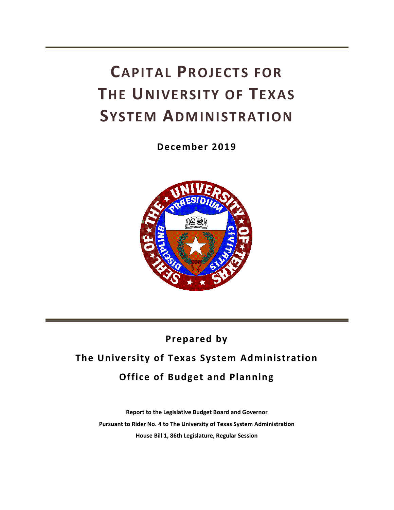# **CAPITAL PROJECTS FOR THE UNIVERSITY OF TEXAS SYSTEM ADMINISTRATION**

**December 2019**



## **Prepared by**

## **The University of Texas System Administration Office of Budget and Planning**

**Report to the Legislative Budget Board and Governor Pursuant to Rider No. 4 to The University of Texas System Administration House Bill 1, 86th Legislature, Regular Session**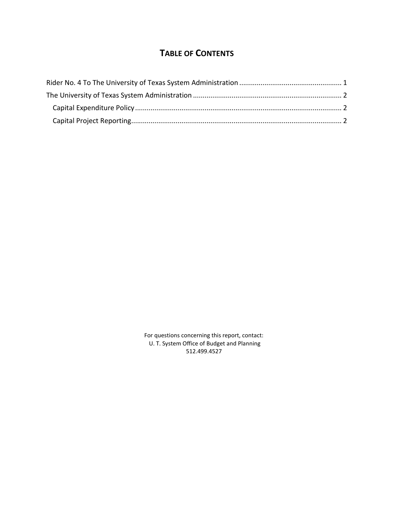### **TABLE OF CONTENTS**

For questions concerning this report, contact: U. T. System Office of Budget and Planning 512.499.4527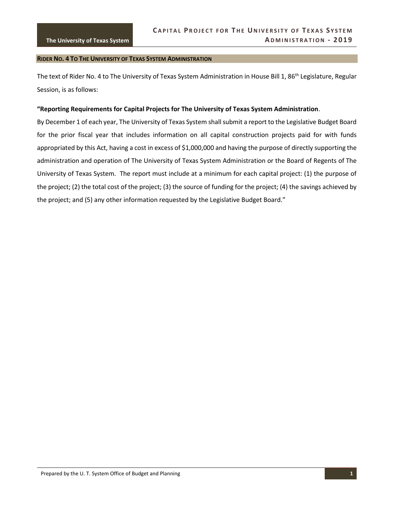#### <span id="page-4-0"></span>**RIDER NO. 4 TO THE UNIVERSITY OF TEXAS SYSTEM ADMINISTRATION**

The text of Rider No. 4 to The University of Texas System Administration in House Bill 1, 86<sup>th</sup> Legislature, Regular Session, is as follows:

#### **"Reporting Requirements for Capital Projects for The University of Texas System Administration**.

By December 1 of each year, The University of Texas System shall submit a report to the Legislative Budget Board for the prior fiscal year that includes information on all capital construction projects paid for with funds appropriated by this Act, having a cost in excess of \$1,000,000 and having the purpose of directly supporting the administration and operation of The University of Texas System Administration or the Board of Regents of The University of Texas System. The report must include at a minimum for each capital project: (1) the purpose of the project; (2) the total cost of the project; (3) the source of funding for the project; (4) the savings achieved by the project; and (5) any other information requested by the Legislative Budget Board."